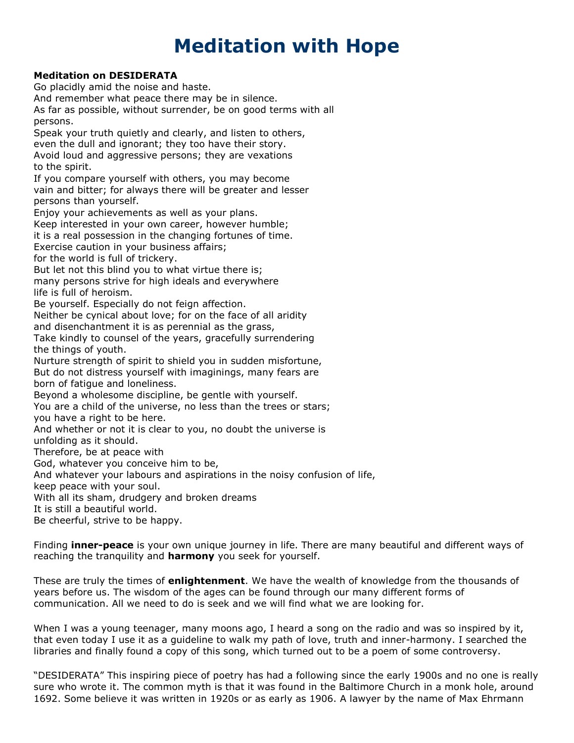# **Meditation with Hope**

#### **Meditation on DESIDERATA**

Go placidly amid the noise and haste. And remember what peace there may be in silence. As far as possible, without surrender, be on good terms with all persons. Speak your truth quietly and clearly, and listen to others, even the dull and ignorant; they too have their story. Avoid loud and aggressive persons; they are vexations to the spirit. If you compare yourself with others, you may become vain and bitter; for always there will be greater and lesser persons than yourself. Enjoy your achievements as well as your plans. Keep interested in your own career, however humble; it is a real possession in the changing fortunes of time. Exercise caution in your business affairs; for the world is full of trickery. But let not this blind you to what virtue there is; many persons strive for high ideals and everywhere life is full of heroism. Be yourself. Especially do not feign affection. Neither be cynical about love; for on the face of all aridity and disenchantment it is as perennial as the grass, Take kindly to counsel of the years, gracefully surrendering the things of youth. Nurture strength of spirit to shield you in sudden misfortune, But do not distress yourself with imaginings, many fears are born of fatigue and loneliness. Beyond a wholesome discipline, be gentle with yourself. You are a child of the universe, no less than the trees or stars; you have a right to be here. And whether or not it is clear to you, no doubt the universe is unfolding as it should. Therefore, be at peace with God, whatever you conceive him to be, And whatever your labours and aspirations in the noisy confusion of life, keep peace with your soul. With all its sham, drudgery and broken dreams It is still a beautiful world. Be cheerful, strive to be happy.

Finding **inner-peace** is your own unique journey in life. There are many beautiful and different ways of reaching the tranquility and **harmony** you seek for yourself.

These are truly the times of **enlightenment**. We have the wealth of knowledge from the thousands of years before us. The wisdom of the ages can be found through our many different forms of communication. All we need to do is seek and we will find what we are looking for.

When I was a young teenager, many moons ago, I heard a song on the radio and was so inspired by it, that even today I use it as a guideline to walk my path of love, truth and inner-harmony. I searched the libraries and finally found a copy of this song, which turned out to be a poem of some controversy.

"DESIDERATA" This inspiring piece of poetry has had a following since the early 1900s and no one is really sure who wrote it. The common myth is that it was found in the Baltimore Church in a monk hole, around 1692. Some believe it was written in 1920s or as early as 1906. A lawyer by the name of Max Ehrmann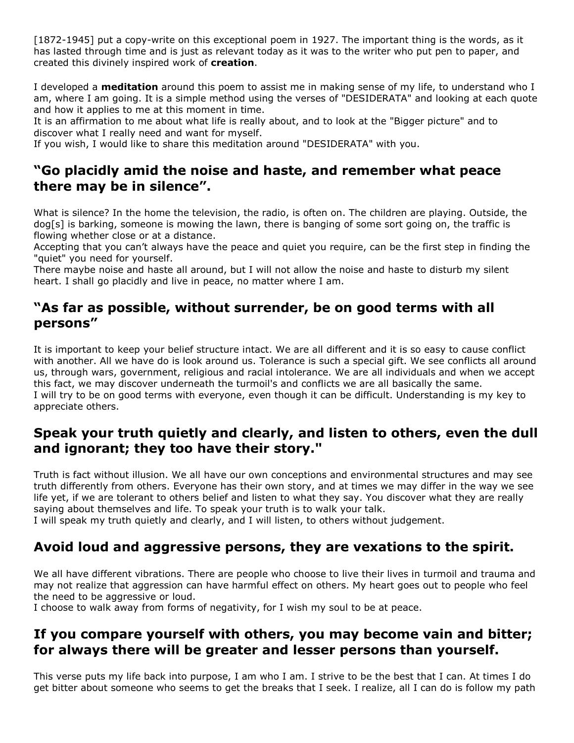[1872-1945] put a copy-write on this exceptional poem in 1927. The important thing is the words, as it has lasted through time and is just as relevant today as it was to the writer who put pen to paper, and created this divinely inspired work of **creation**.

I developed a **meditation** around this poem to assist me in making sense of my life, to understand who I am, where I am going. It is a simple method using the verses of "DESIDERATA" and looking at each quote and how it applies to me at this moment in time.

It is an affirmation to me about what life is really about, and to look at the "Bigger picture" and to discover what I really need and want for myself.

If you wish, I would like to share this meditation around "DESIDERATA" with you.

#### **"Go placidly amid the noise and haste, and remember what peace there may be in silence".**

What is silence? In the home the television, the radio, is often on. The children are playing. Outside, the dog[s] is barking, someone is mowing the lawn, there is banging of some sort going on, the traffic is flowing whether close or at a distance.

Accepting that you can't always have the peace and quiet you require, can be the first step in finding the "quiet" you need for yourself.

There maybe noise and haste all around, but I will not allow the noise and haste to disturb my silent heart. I shall go placidly and live in peace, no matter where I am.

#### **"As far as possible, without surrender, be on good terms with all persons"**

It is important to keep your belief structure intact. We are all different and it is so easy to cause conflict with another. All we have do is look around us. Tolerance is such a special gift. We see conflicts all around us, through wars, government, religious and racial intolerance. We are all individuals and when we accept this fact, we may discover underneath the turmoil's and conflicts we are all basically the same. I will try to be on good terms with everyone, even though it can be difficult. Understanding is my key to appreciate others.

#### **Speak your truth quietly and clearly, and listen to others, even the dull and ignorant; they too have their story."**

Truth is fact without illusion. We all have our own conceptions and environmental structures and may see truth differently from others. Everyone has their own story, and at times we may differ in the way we see life yet, if we are tolerant to others belief and listen to what they say. You discover what they are really saying about themselves and life. To speak your truth is to walk your talk.

I will speak my truth quietly and clearly, and I will listen, to others without judgement.

#### **Avoid loud and aggressive persons, they are vexations to the spirit.**

We all have different vibrations. There are people who choose to live their lives in turmoil and trauma and may not realize that aggression can have harmful effect on others. My heart goes out to people who feel the need to be aggressive or loud.

I choose to walk away from forms of negativity, for I wish my soul to be at peace.

#### **If you compare yourself with others, you may become vain and bitter; for always there will be greater and lesser persons than yourself.**

This verse puts my life back into purpose, I am who I am. I strive to be the best that I can. At times I do get bitter about someone who seems to get the breaks that I seek. I realize, all I can do is follow my path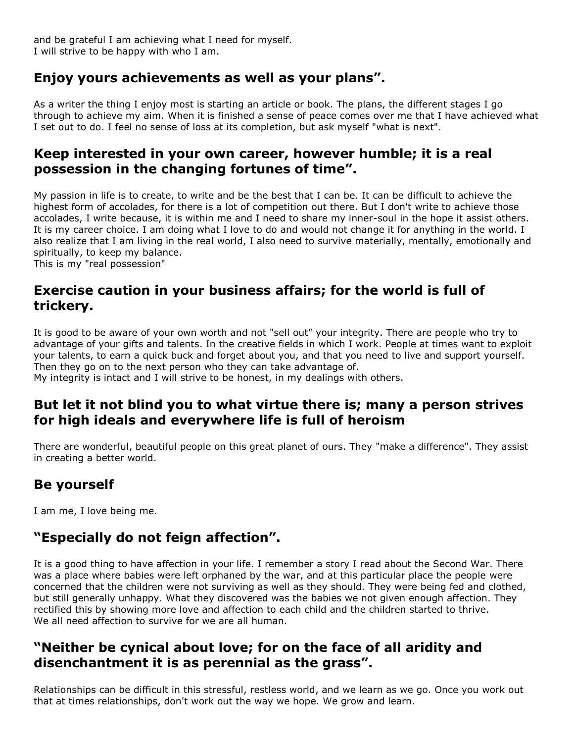and be grateful I am achieving what I need for myself. I will strive to be happy with who I am.

# **Enjoy yours achievements as well as your plans".**

As a writer the thing I enjoy most is starting an article or book. The plans, the different stages I go through to achieve my aim. When it is finished a sense of peace comes over me that I have achieved what I set out to do. I feel no sense of loss at its completion, but ask myself "what is next".

# **Keep interested in your own career, however humble; it is a real possession in the changing fortunes of time".**

My passion in life is to create, to write and be the best that I can be. It can be difficult to achieve the highest form of accolades, for there is a lot of competition out there. But I don't write to achieve those accolades, I write because, it is within me and I need to share my inner-soul in the hope it assist others. It is my career choice. I am doing what I love to do and would not change it for anything in the world. I also realize that I am living in the real world, I also need to survive materially, mentally, emotionally and spiritually, to keep my balance.

This is my "real possession"

# **Exercise caution in your business affairs; for the world is full of trickery.**

It is good to be aware of your own worth and not "sell out" your integrity. There are people who try to advantage of your gifts and talents. In the creative fields in which I work. People at times want to exploit your talents, to earn a quick buck and forget about you, and that you need to live and support yourself. Then they go on to the next person who they can take advantage of.

My integrity is intact and I will strive to be honest, in my dealings with others.

#### **But let it not blind you to what virtue there is; many a person strives for high ideals and everywhere life is full of heroism**

There are wonderful, beautiful people on this great planet of ours. They "make a difference". They assist in creating a better world.

# **Be yourself**

I am me, I love being me.

# **"Especially do not feign affection".**

It is a good thing to have affection in your life. I remember a story I read about the Second War. There was a place where babies were left orphaned by the war, and at this particular place the people were concerned that the children were not surviving as well as they should. They were being fed and clothed, but still generally unhappy. What they discovered was the babies we not given enough affection. They rectified this by showing more love and affection to each child and the children started to thrive. We all need affection to survive for we are all human.

### **"Neither be cynical about love; for on the face of all aridity and disenchantment it is as perennial as the grass".**

Relationships can be difficult in this stressful, restless world, and we learn as we go. Once you work out that at times relationships, don't work out the way we hope. We grow and learn.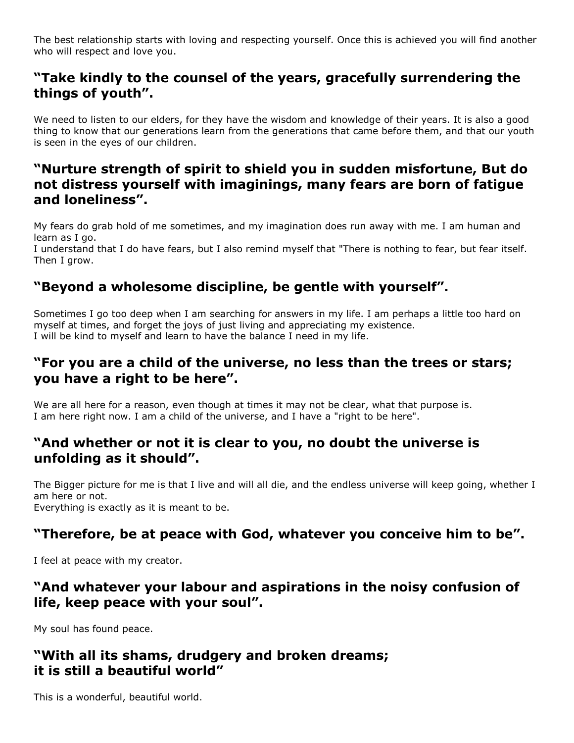The best relationship starts with loving and respecting yourself. Once this is achieved you will find another who will respect and love you.

# **"Take kindly to the counsel of the years, gracefully surrendering the things of youth".**

We need to listen to our elders, for they have the wisdom and knowledge of their years. It is also a good thing to know that our generations learn from the generations that came before them, and that our youth is seen in the eyes of our children.

#### **"Nurture strength of spirit to shield you in sudden misfortune, But do not distress yourself with imaginings, many fears are born of fatigue and loneliness".**

My fears do grab hold of me sometimes, and my imagination does run away with me. I am human and learn as I go.

I understand that I do have fears, but I also remind myself that "There is nothing to fear, but fear itself. Then I grow.

# **"Beyond a wholesome discipline, be gentle with yourself".**

Sometimes I go too deep when I am searching for answers in my life. I am perhaps a little too hard on myself at times, and forget the joys of just living and appreciating my existence. I will be kind to myself and learn to have the balance I need in my life.

#### **"For you are a child of the universe, no less than the trees or stars; you have a right to be here".**

We are all here for a reason, even though at times it may not be clear, what that purpose is. I am here right now. I am a child of the universe, and I have a "right to be here".

#### **"And whether or not it is clear to you, no doubt the universe is unfolding as it should".**

The Bigger picture for me is that I live and will all die, and the endless universe will keep going, whether I am here or not. Everything is exactly as it is meant to be.

# **"Therefore, be at peace with God, whatever you conceive him to be".**

I feel at peace with my creator.

#### **"And whatever your labour and aspirations in the noisy confusion of life, keep peace with your soul".**

My soul has found peace.

### **"With all its shams, drudgery and broken dreams; it is still a beautiful world"**

This is a wonderful, beautiful world.